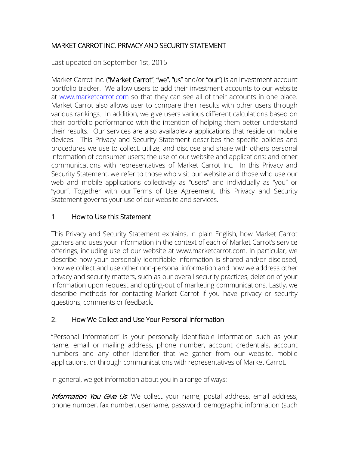#### MARKET CARROT INC. PRIVACY AND SECURITY STATEMENT

Last updated on September 1st, 2015

Market Carrot Inc. ("Market Carrot", "we", "us" and/or "our") is an investment account portfolio tracker. We allow users to add their investment accounts to our website at [www.marketcarrot.com](http://www.marketcarrot.com/) so that they can see all of their accounts in one place. Market Carrot also allows user to compare their results with other users through various rankings. In addition, we give users various different calculations based on their portfolio performance with the intention of helping them better understand their results. Our services are also availablevia applications that reside on mobile devices. This Privacy and Security Statement describes the specific policies and procedures we use to collect, utilize, and disclose and share with others personal information of consumer users; the use of our website and applications; and other communications with representatives of Market Carrot Inc. In this Privacy and Security Statement, we refer to those who visit our website and those who use our web and mobile applications collectively as "users" and individually as "you" or "your". Together with our [Terms of Use](https://www.personalcapital.com/terms-of-use) Agreement, this Privacy and Security Statement governs your use of our website and services.

## 1. How to Use this Statement

This Privacy and Security Statement explains, in plain English, how Market Carrot gathers and uses your information in the context of each of Market Carrot's service offerings, including use of our website at www.marketcarrot.com. In particular, we describe how your personally identifiable information is shared and/or disclosed, how we collect and use other non-personal information and how we address other privacy and security matters, such as our overall security practices, deletion of your information upon request and opting-out of marketing communications. Lastly, we describe methods for contacting Market Carrot if you have privacy or security questions, comments or feedback.

#### 2. How We Collect and Use Your Personal Information

"Personal Information" is your personally identifiable information such as your name, email or mailing address, phone number, account credentials, account numbers and any other identifier that we gather from our website, mobile applications, or through communications with representatives of Market Carrot.

In general, we get information about you in a range of ways:

Information You Give Us. We collect your name, postal address, email address, phone number, fax number, username, password, demographic information (such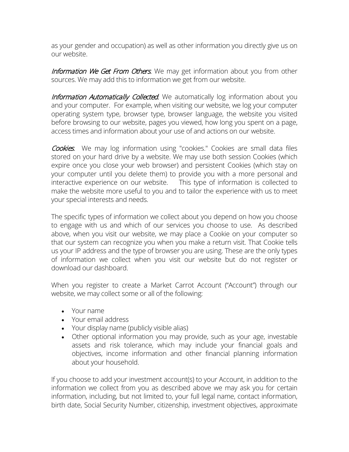as your gender and occupation) as well as other information you directly give us on our website.

Information We Get From Others. We may get information about you from other sources. We may add this to information we get from our website.

Information Automatically Collected. We automatically log information about you and your computer. For example, when visiting our website, we log your computer operating system type, browser type, browser language, the website you visited before browsing to our website, pages you viewed, how long you spent on a page, access times and information about your use of and actions on our website.

Cookies. We may log information using "cookies." Cookies are small data files stored on your hard drive by a website. We may use both session Cookies (which expire once you close your web browser) and persistent Cookies (which stay on your computer until you delete them) to provide you with a more personal and interactive experience on our website. This type of information is collected to make the website more useful to you and to tailor the experience with us to meet your special interests and needs.

The specific types of information we collect about you depend on how you choose to engage with us and which of our services you choose to use. As described above, when you visit our website, we may place a Cookie on your computer so that our system can recognize you when you make a return visit. That Cookie tells us your IP address and the type of browser you are using. These are the only types of information we collect when you visit our website but do not register or download our dashboard.

When you register to create a Market Carrot Account ("Account") through our website, we may collect some or all of the following:

- Your name
- Your email address
- Your display name (publicly visible alias)
- Other optional information you may provide, such as your age, investable assets and risk tolerance, which may include your financial goals and objectives, income information and other financial planning information about your household.

If you choose to add your investment account(s) to your Account, in addition to the information we collect from you as described above we may ask you for certain information, including, but not limited to, your full legal name, contact information, birth date, Social Security Number, citizenship, investment objectives, approximate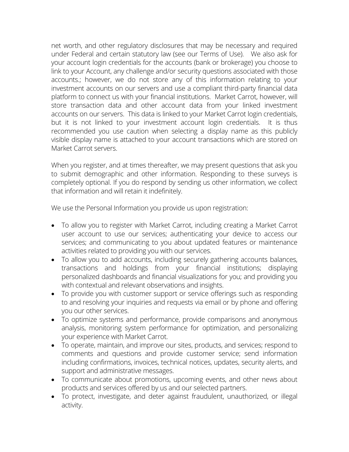net worth, and other regulatory disclosures that may be necessary and required under Federal and certain statutory law (see our Terms of Use). We also ask for your account login credentials for the accounts (bank or brokerage) you choose to link to your Account, any challenge and/or security questions associated with those accounts.; however, we do not store any of this information relating to your investment accounts on our servers and use a compliant third-party financial data platform to connect us with your financial institutions. Market Carrot, however, will store transaction data and other account data from your linked investment accounts on our servers. This data is linked to your Market Carrot login credentials, but it is not linked to your investment account login credentials. It is thus recommended you use caution when selecting a display name as this publicly visible display name is attached to your account transactions which are stored on Market Carrot servers.

When you register, and at times thereafter, we may present questions that ask you to submit demographic and other information. Responding to these surveys is completely optional. If you do respond by sending us other information, we collect that information and will retain it indefinitely.

We use the Personal Information you provide us upon registration:

- To allow you to register with Market Carrot, including creating a Market Carrot user account to use our services; authenticating your device to access our services; and communicating to you about updated features or maintenance activities related to providing you with our services.
- To allow you to add accounts, including securely gathering accounts balances, transactions and holdings from your financial institutions; displaying personalized dashboards and financial visualizations for you; and providing you with contextual and relevant observations and insights.
- To provide you with customer support or service offerings such as responding to and resolving your inquiries and requests via email or by phone and offering you our other services.
- To optimize systems and performance, provide comparisons and anonymous analysis, monitoring system performance for optimization, and personalizing your experience with Market Carrot.
- To operate, maintain, and improve our sites, products, and services; respond to comments and questions and provide customer service; send information including confirmations, invoices, technical notices, updates, security alerts, and support and administrative messages.
- To communicate about promotions, upcoming events, and other news about products and services offered by us and our selected partners.
- To protect, investigate, and deter against fraudulent, unauthorized, or illegal activity.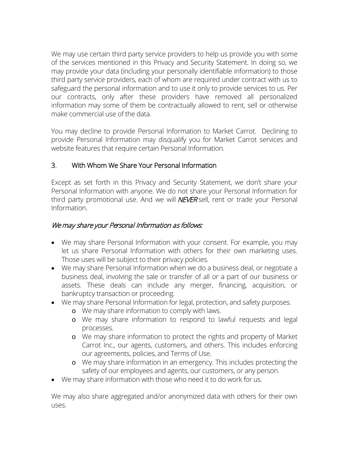We may use certain third party service providers to help us provide you with some of the services mentioned in this Privacy and Security Statement. In doing so, we may provide your data (including your personally identifiable information) to those third party service providers, each of whom are required under contract with us to safeguard the personal information and to use it only to provide services to us. Per our contracts, only after these providers have removed all personalized information may some of them be contractually allowed to rent, sell or otherwise make commercial use of the data.

You may decline to provide Personal Information to Market Carrot. Declining to provide Personal Information may disqualify you for Market Carrot services and website features that require certain Personal Information.

## 3. With Whom We Share Your Personal Information

Except as set forth in this Privacy and Security Statement, we don't share your Personal Information with anyone. We do not share your Personal Information for third party promotional use. And we will **NEVER** sell, rent or trade your Personal Information.

#### We may share your Personal Information as follows:

- We may share Personal Information with your consent. For example, you may let us share Personal Information with others for their own marketing uses. Those uses will be subject to their privacy policies.
- We may share Personal Information when we do a business deal, or negotiate a business deal, involving the sale or transfer of all or a part of our business or assets. These deals can include any merger, financing, acquisition, or bankruptcy transaction or proceeding.
- We may share Personal Information for legal, protection, and safety purposes.
	- o We may share information to comply with laws.
	- o We may share information to respond to lawful requests and legal processes.
	- o We may share information to protect the rights and property of Market Carrot Inc., our agents, customers, and others. This includes enforcing our agreements, policies, and Terms of Use.
	- o We may share information in an emergency. This includes protecting the safety of our employees and agents, our customers, or any person.
- We may share information with those who need it to do work for us.

We may also share aggregated and/or anonymized data with others for their own uses.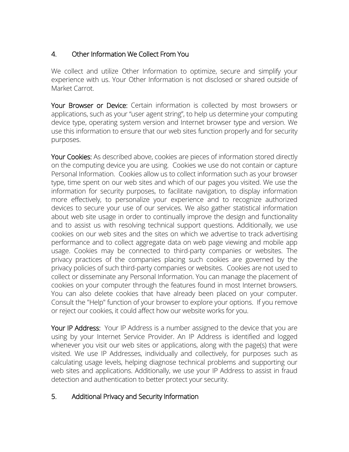## 4. Other Information We Collect From You

We collect and utilize Other Information to optimize, secure and simplify your experience with us. Your Other Information is not disclosed or shared outside of Market Carrot.

Your Browser or Device: Certain information is collected by most browsers or applications, such as your "user agent string", to help us determine your computing device type, operating system version and Internet browser type and version. We use this information to ensure that our web sites function properly and for security purposes.

Your Cookies: As described above, cookies are pieces of information stored directly on the computing device you are using. Cookies we use do not contain or capture Personal Information. Cookies allow us to collect information such as your browser type, time spent on our web sites and which of our pages you visited. We use the information for security purposes, to facilitate navigation, to display information more effectively, to personalize your experience and to recognize authorized devices to secure your use of our services. We also gather statistical information about web site usage in order to continually improve the design and functionality and to assist us with resolving technical support questions. Additionally, we use cookies on our web sites and the sites on which we advertise to track advertising performance and to collect aggregate data on web page viewing and mobile app usage. Cookies may be connected to third-party companies or websites. The privacy practices of the companies placing such cookies are governed by the privacy policies of such third-party companies or websites. Cookies are not used to collect or disseminate any Personal Information. You can manage the placement of cookies on your computer through the features found in most Internet browsers. You can also delete cookies that have already been placed on your computer. Consult the "Help" function of your browser to explore your options. If you remove or reject our cookies, it could affect how our website works for you.

Your IP Address: Your IP Address is a number assigned to the device that you are using by your Internet Service Provider. An IP Address is identified and logged whenever you visit our web sites or applications, along with the page(s) that were visited. We use IP Addresses, individually and collectively, for purposes such as calculating usage levels, helping diagnose technical problems and supporting our web sites and applications. Additionally, we use your IP Address to assist in fraud detection and authentication to better protect your security.

#### 5. Additional Privacy and Security Information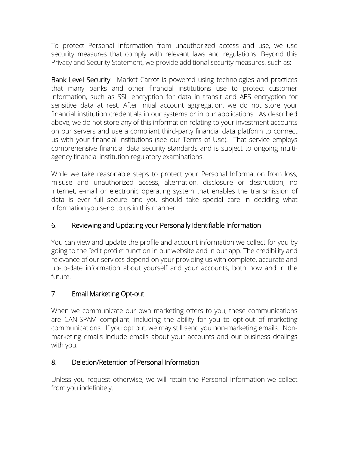To protect Personal Information from unauthorized access and use, we use security measures that comply with relevant laws and regulations. Beyond this Privacy and Security Statement, we provide additional security measures, such as:

Bank Level Security: Market Carrot is powered using technologies and practices that many banks and other financial institutions use to protect customer information, such as SSL encryption for data in transit and AES encryption for sensitive data at rest. After initial account aggregation, we do not store your financial institution credentials in our systems or in our applications. As described above, we do not store any of this information relating to your investment accounts on our servers and use a compliant third-party financial data platform to connect us with your financial institutions (see our Terms of Use). That service employs comprehensive financial data security standards and is subject to ongoing multiagency financial institution regulatory examinations.

While we take reasonable steps to protect your Personal Information from loss, misuse and unauthorized access, alternation, disclosure or destruction, no Internet, e-mail or electronic operating system that enables the transmission of data is ever full secure and you should take special care in deciding what information you send to us in this manner.

## 6. Reviewing and Updating your Personally Identifiable Information

You can view and update the profile and account information we collect for you by going to the "edit profile" function in our website and in our app. The credibility and relevance of our services depend on your providing us with complete, accurate and up-to-date information about yourself and your accounts, both now and in the future.

## 7. Email Marketing Opt-out

When we communicate our own marketing offers to you, these communications are CAN-SPAM compliant, including the ability for you to opt-out of marketing communications. If you opt out, we may still send you non-marketing emails. Nonmarketing emails include emails about your accounts and our business dealings with you.

#### 8. Deletion/Retention of Personal Information

Unless you request otherwise, we will retain the Personal Information we collect from you indefinitely.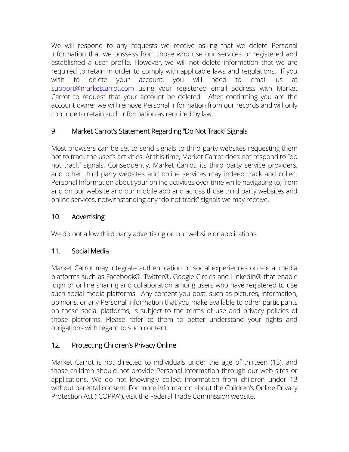We will respond to any requests we receive asking that we delete Personal Information that we possess from those who use our services or registered and established a user profile. However, we will not delete information that we are required to retain in order to comply with applicable laws and regulations. If you wish to delete your account, you will need to email us at [support@marketcarrot.com](mailto:support@marketcarrot.com) using your registered email address with Market Carrot to request that your account be deleted. After confirming you are the account owner we will remove Personal Information from our records and will only continue to retain such information as required by law.

# 9. Market Carrot's Statement Regarding "Do Not Track" Signals

Most browsers can be set to send signals to third party websites requesting them not to track the user's activities. At this time, Market Carrot does not respond to "do not track" signals. Consequently, Market Carrot, its third party service providers, and other third party websites and online services may indeed track and collect Personal Information about your online activities over time while navigating to, from and on our website and our mobile app and across those third party websites and online services, notwithstanding any "do not track" signals we may receive.

## 10. Advertising

We do not allow third party advertising on our website or applications.

## 11. Social Media

Market Carrot may integrate authentication or social experiences on social media platforms such as Facebook®, Twitter®, Google Circles and LinkedIn® that enable login or online sharing and collaboration among users who have registered to use such social media platforms. Any content you post, such as pictures, information, opinions, or any Personal Information that you make available to other participants on these social platforms, is subject to the terms of use and privacy policies of those platforms. Please refer to them to better understand your rights and obligations with regard to such content.

# 12. Protecting Children's Privacy Online

Market Carrot is not directed to individuals under the age of thirteen (13), and those children should not provide Personal Information through our web sites or applications. We do not knowingly collect information from children under 13 without parental consent. For more information about the Children's Online Privacy Protection Act ("COPPA"), visit the Federal Trade Commission [website.](https://www.ftc.gov/)